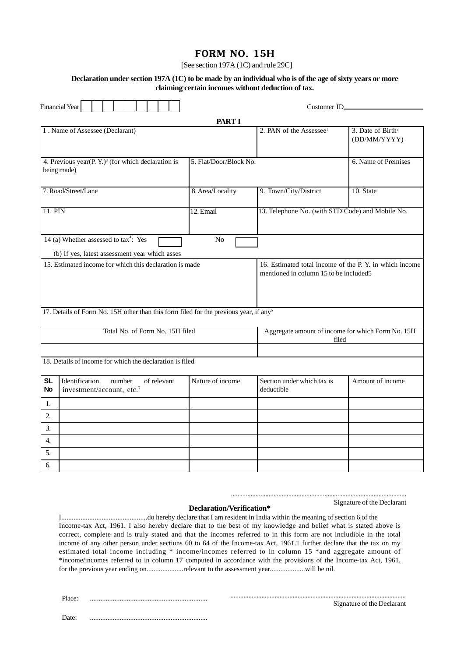## **FORM NO. 15H**

[See section 197A (1C) and rule 29C]

#### **Declaration under section 197A (1C) to be made by an individual who is of the age of sixty years or more claiming certain incomes without deduction of tax.**

| Financial Year         |                                                                                                                       | Customer ID_________                                                                             |                                                  |                     |  |  |  |
|------------------------|-----------------------------------------------------------------------------------------------------------------------|--------------------------------------------------------------------------------------------------|--------------------------------------------------|---------------------|--|--|--|
|                        |                                                                                                                       | <b>PART I</b>                                                                                    |                                                  |                     |  |  |  |
|                        | 1. Name of Assessee (Declarant)                                                                                       | 2. PAN of the Assessee <sup>1</sup>                                                              | $3.$ Date of Birth <sup>2</sup><br>(DD/MM/YYYY)  |                     |  |  |  |
|                        | 4. Previous year(P. Y.) <sup>3</sup> (for which declaration is<br>being made)                                         | 5. Flat/Door/Block No.                                                                           |                                                  | 6. Name of Premises |  |  |  |
|                        | 7. Road/Street/Lane                                                                                                   | 8. Area/Locality                                                                                 | 9. Town/City/District<br>10. State               |                     |  |  |  |
| 11. PIN                |                                                                                                                       | 12. Email                                                                                        | 13. Telephone No. (with STD Code) and Mobile No. |                     |  |  |  |
|                        | 14 (a) Whether assessed to tax <sup>4</sup> : Yes<br>N <sub>o</sub><br>(b) If yes, latest assessment year which asses |                                                                                                  |                                                  |                     |  |  |  |
|                        | 15. Estimated income for which this declaration is made                                                               | 16. Estimated total income of the P.Y. in which income<br>mentioned in column 15 to be included5 |                                                  |                     |  |  |  |
|                        | 17. Details of Form No. 15H other than this form filed for the previous year, if any <sup>6</sup>                     |                                                                                                  |                                                  |                     |  |  |  |
|                        | Total No. of Form No. 15H filed                                                                                       | Aggregate amount of income for which Form No. 15H<br>filed                                       |                                                  |                     |  |  |  |
|                        |                                                                                                                       |                                                                                                  |                                                  |                     |  |  |  |
|                        | 18. Details of income for which the declaration is filed                                                              |                                                                                                  |                                                  |                     |  |  |  |
| <b>SL</b><br><b>No</b> | Identification<br>number<br>of relevant<br>investment/account, etc. <sup>7</sup>                                      | Nature of income                                                                                 | Section under which tax is<br>deductible         | Amount of income    |  |  |  |
| 1.                     |                                                                                                                       |                                                                                                  |                                                  |                     |  |  |  |
| 2.                     |                                                                                                                       |                                                                                                  |                                                  |                     |  |  |  |
| 3.                     |                                                                                                                       |                                                                                                  |                                                  |                     |  |  |  |
| 4.                     |                                                                                                                       |                                                                                                  |                                                  |                     |  |  |  |
| 5.                     |                                                                                                                       |                                                                                                  |                                                  |                     |  |  |  |
| 6.                     |                                                                                                                       |                                                                                                  |                                                  |                     |  |  |  |

...........................................................................................................

# Signature of the Declarant **Declaration/Verification\***

I.................................................do hereby declare that I am resident in India within the meaning of section 6 of the Income-tax Act, 1961. I also hereby declare that to the best of my knowledge and belief what is stated above is correct, complete and is truly stated and that the incomes referred to in this form are not includible in the total income of any other person under sections 60 to 64 of the Income-tax Act, 1961.1 further declare that the tax on my estimated total income including \* income/incomes referred to in column 15 \*and aggregate amount of \*income/incomes referred to in column 17 computed in accordance with the provisions of the Income-tax Act, 1961, for the previous year ending on.....................relevant to the assessment year....................will be nil.

Place: ...................................................................

........................................................................................................... Signature of the Declarant

Date: ...................................................................